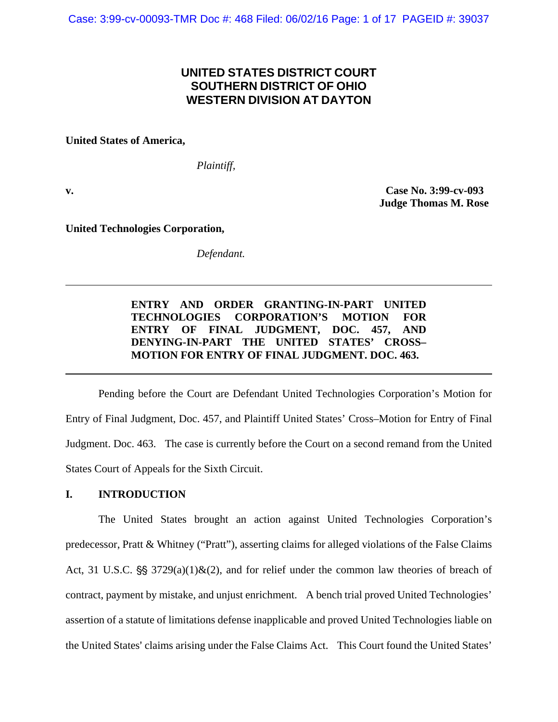# **UNITED STATES DISTRICT COURT SOUTHERN DISTRICT OF OHIO WESTERN DIVISION AT DAYTON**

**United States of America,** 

*Plaintiff,*

**v. Case No. 3:99-cv-093 Judge Thomas M. Rose** 

**United Technologies Corporation,** 

*Defendant.*

# **ENTRY AND ORDER GRANTING-IN-PART UNITED TECHNOLOGIES CORPORATION'S MOTION FOR ENTRY OF FINAL JUDGMENT, DOC. 457, AND DENYING-IN-PART THE UNITED STATES' CROSS– MOTION FOR ENTRY OF FINAL JUDGMENT. DOC. 463.**

 Pending before the Court are Defendant United Technologies Corporation's Motion for Entry of Final Judgment, Doc. 457, and Plaintiff United States' Cross–Motion for Entry of Final Judgment. Doc. 463. The case is currently before the Court on a second remand from the United States Court of Appeals for the Sixth Circuit.

# **I. INTRODUCTION**

The United States brought an action against United Technologies Corporation's predecessor, Pratt & Whitney ("Pratt"), asserting claims for alleged violations of the False Claims Act, 31 U.S.C.  $\S\$  3729(a)(1)&(2), and for relief under the common law theories of breach of contract, payment by mistake, and unjust enrichment. A bench trial proved United Technologies' assertion of a statute of limitations defense inapplicable and proved United Technologies liable on the United States' claims arising under the False Claims Act. This Court found the United States'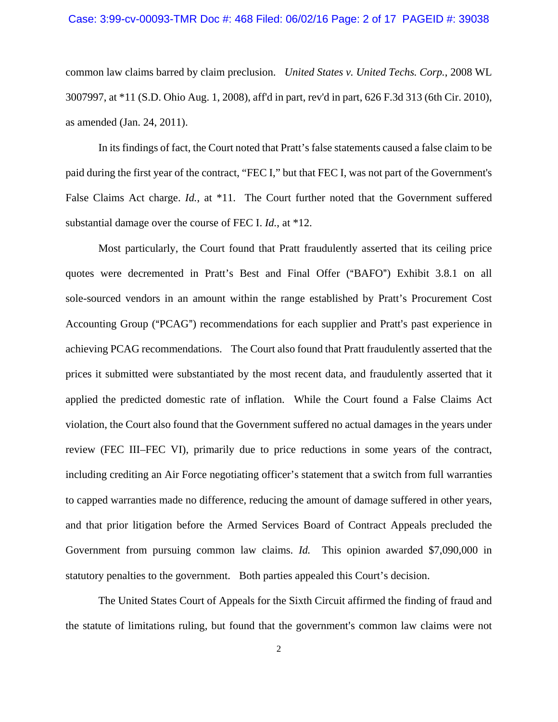#### Case: 3:99-cv-00093-TMR Doc #: 468 Filed: 06/02/16 Page: 2 of 17 PAGEID #: 39038

common law claims barred by claim preclusion. *United States v. United Techs. Corp.*, 2008 WL 3007997, at \*11 (S.D. Ohio Aug. 1, 2008), aff'd in part, rev'd in part, 626 F.3d 313 (6th Cir. 2010), as amended (Jan. 24, 2011).

In its findings of fact, the Court noted that Pratt's false statements caused a false claim to be paid during the first year of the contract, "FEC I," but that FEC I, was not part of the Government's False Claims Act charge. *Id.*, at \*11. The Court further noted that the Government suffered substantial damage over the course of FEC I. *Id.*, at \*12.

Most particularly, the Court found that Pratt fraudulently asserted that its ceiling price quotes were decremented in Pratt's Best and Final Offer ("BAFO") Exhibit 3.8.1 on all sole-sourced vendors in an amount within the range established by Pratt's Procurement Cost Accounting Group ("PCAG") recommendations for each supplier and Pratt's past experience in achieving PCAG recommendations. The Court also found that Pratt fraudulently asserted that the prices it submitted were substantiated by the most recent data, and fraudulently asserted that it applied the predicted domestic rate of inflation. While the Court found a False Claims Act violation, the Court also found that the Government suffered no actual damages in the years under review (FEC III–FEC VI), primarily due to price reductions in some years of the contract, including crediting an Air Force negotiating officer's statement that a switch from full warranties to capped warranties made no difference, reducing the amount of damage suffered in other years, and that prior litigation before the Armed Services Board of Contract Appeals precluded the Government from pursuing common law claims. *Id.* This opinion awarded \$7,090,000 in statutory penalties to the government. Both parties appealed this Court's decision.

The United States Court of Appeals for the Sixth Circuit affirmed the finding of fraud and the statute of limitations ruling, but found that the government's common law claims were not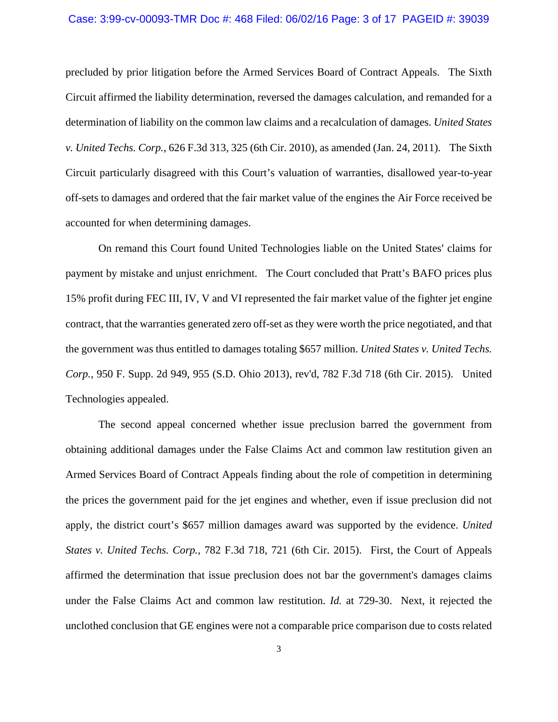### Case: 3:99-cv-00093-TMR Doc #: 468 Filed: 06/02/16 Page: 3 of 17 PAGEID #: 39039

precluded by prior litigation before the Armed Services Board of Contract Appeals. The Sixth Circuit affirmed the liability determination, reversed the damages calculation, and remanded for a determination of liability on the common law claims and a recalculation of damages. *United States v. United Techs. Corp.*, 626 F.3d 313, 325 (6th Cir. 2010), as amended (Jan. 24, 2011). The Sixth Circuit particularly disagreed with this Court's valuation of warranties, disallowed year-to-year off-sets to damages and ordered that the fair market value of the engines the Air Force received be accounted for when determining damages.

On remand this Court found United Technologies liable on the United States' claims for payment by mistake and unjust enrichment. The Court concluded that Pratt's BAFO prices plus 15% profit during FEC III, IV, V and VI represented the fair market value of the fighter jet engine contract, that the warranties generated zero off-set as they were worth the price negotiated, and that the government was thus entitled to damages totaling \$657 million. *United States v. United Techs. Corp.*, 950 F. Supp. 2d 949, 955 (S.D. Ohio 2013), rev'd, 782 F.3d 718 (6th Cir. 2015). United Technologies appealed.

The second appeal concerned whether issue preclusion barred the government from obtaining additional damages under the False Claims Act and common law restitution given an Armed Services Board of Contract Appeals finding about the role of competition in determining the prices the government paid for the jet engines and whether, even if issue preclusion did not apply, the district court's \$657 million damages award was supported by the evidence. *United States v. United Techs. Corp.,* 782 F.3d 718, 721 (6th Cir. 2015). First, the Court of Appeals affirmed the determination that issue preclusion does not bar the government's damages claims under the False Claims Act and common law restitution. *Id.* at 729-30. Next, it rejected the unclothed conclusion that GE engines were not a comparable price comparison due to costs related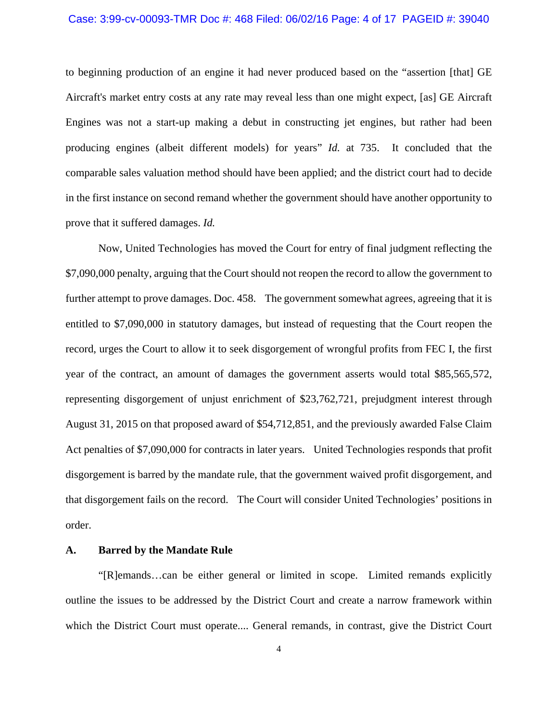### Case: 3:99-cv-00093-TMR Doc #: 468 Filed: 06/02/16 Page: 4 of 17 PAGEID #: 39040

to beginning production of an engine it had never produced based on the "assertion [that] GE Aircraft's market entry costs at any rate may reveal less than one might expect, [as] GE Aircraft Engines was not a start-up making a debut in constructing jet engines, but rather had been producing engines (albeit different models) for years" *Id.* at 735. It concluded that the comparable sales valuation method should have been applied; and the district court had to decide in the first instance on second remand whether the government should have another opportunity to prove that it suffered damages. *Id.*

 Now, United Technologies has moved the Court for entry of final judgment reflecting the \$7,090,000 penalty, arguing that the Court should not reopen the record to allow the government to further attempt to prove damages. Doc. 458. The government somewhat agrees, agreeing that it is entitled to \$7,090,000 in statutory damages, but instead of requesting that the Court reopen the record, urges the Court to allow it to seek disgorgement of wrongful profits from FEC I, the first year of the contract, an amount of damages the government asserts would total \$85,565,572, representing disgorgement of unjust enrichment of \$23,762,721, prejudgment interest through August 31, 2015 on that proposed award of \$54,712,851, and the previously awarded False Claim Act penalties of \$7,090,000 for contracts in later years. United Technologies responds that profit disgorgement is barred by the mandate rule, that the government waived profit disgorgement, and that disgorgement fails on the record. The Court will consider United Technologies' positions in order.

## **A. Barred by the Mandate Rule**

 "[R]emands…can be either general or limited in scope. Limited remands explicitly outline the issues to be addressed by the District Court and create a narrow framework within which the District Court must operate.... General remands, in contrast, give the District Court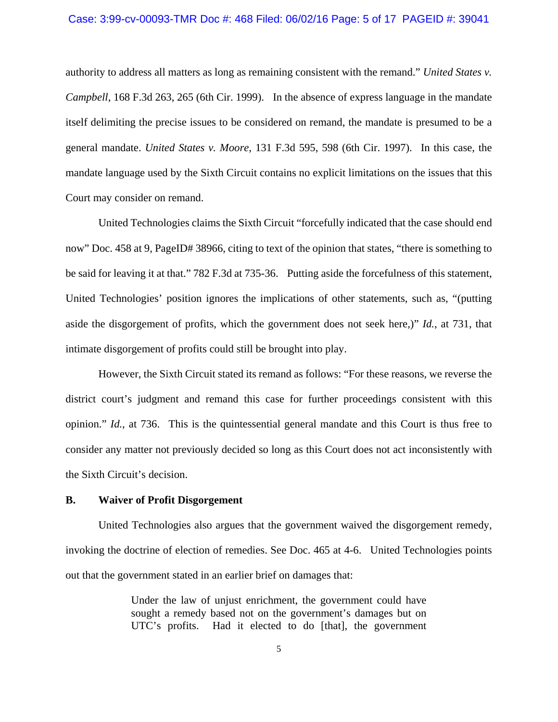### Case: 3:99-cv-00093-TMR Doc #: 468 Filed: 06/02/16 Page: 5 of 17 PAGEID #: 39041

authority to address all matters as long as remaining consistent with the remand." *United States v. Campbell*, 168 F.3d 263, 265 (6th Cir. 1999). In the absence of express language in the mandate itself delimiting the precise issues to be considered on remand, the mandate is presumed to be a general mandate. *United States v. Moore*, 131 F.3d 595, 598 (6th Cir. 1997). In this case, the mandate language used by the Sixth Circuit contains no explicit limitations on the issues that this Court may consider on remand.

 United Technologies claims the Sixth Circuit "forcefully indicated that the case should end now" Doc. 458 at 9, PageID# 38966, citing to text of the opinion that states, "there is something to be said for leaving it at that." 782 F.3d at 735-36. Putting aside the forcefulness of this statement, United Technologies' position ignores the implications of other statements, such as, "(putting aside the disgorgement of profits, which the government does not seek here,)" *Id.*, at 731, that intimate disgorgement of profits could still be brought into play.

However, the Sixth Circuit stated its remand as follows: "For these reasons, we reverse the district court's judgment and remand this case for further proceedings consistent with this opinion." *Id.*, at 736. This is the quintessential general mandate and this Court is thus free to consider any matter not previously decided so long as this Court does not act inconsistently with the Sixth Circuit's decision.

# **B. Waiver of Profit Disgorgement**

 United Technologies also argues that the government waived the disgorgement remedy, invoking the doctrine of election of remedies. See Doc. 465 at 4-6. United Technologies points out that the government stated in an earlier brief on damages that:

> Under the law of unjust enrichment, the government could have sought a remedy based not on the government's damages but on UTC's profits. Had it elected to do [that], the government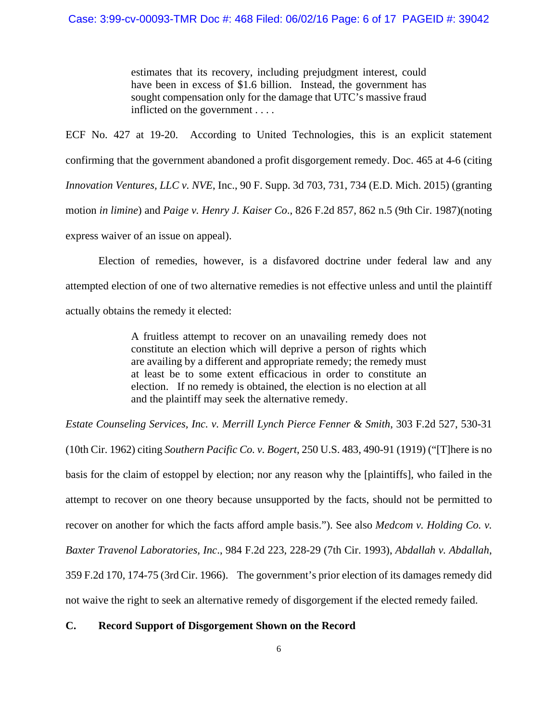estimates that its recovery, including prejudgment interest, could have been in excess of \$1.6 billion. Instead, the government has sought compensation only for the damage that UTC's massive fraud inflicted on the government . . . .

ECF No. 427 at 19-20. According to United Technologies, this is an explicit statement confirming that the government abandoned a profit disgorgement remedy. Doc. 465 at 4-6 (citing *Innovation Ventures, LLC v. NVE*, Inc., 90 F. Supp. 3d 703, 731, 734 (E.D. Mich. 2015) (granting motion *in limine*) and *Paige v. Henry J. Kaiser Co*., 826 F.2d 857, 862 n.5 (9th Cir. 1987)(noting express waiver of an issue on appeal).

Election of remedies, however, is a disfavored doctrine under federal law and any attempted election of one of two alternative remedies is not effective unless and until the plaintiff actually obtains the remedy it elected:

> A fruitless attempt to recover on an unavailing remedy does not constitute an election which will deprive a person of rights which are availing by a different and appropriate remedy; the remedy must at least be to some extent efficacious in order to constitute an election. If no remedy is obtained, the election is no election at all and the plaintiff may seek the alternative remedy.

*Estate Counseling Services, Inc. v. Merrill Lynch Pierce Fenner & Smith*, 303 F.2d 527, 530-31

(10th Cir. 1962) citing *Southern Pacific Co. v. Bogert*, 250 U.S. 483, 490-91 (1919) ("[T]here is no basis for the claim of estoppel by election; nor any reason why the [plaintiffs], who failed in the attempt to recover on one theory because unsupported by the facts, should not be permitted to recover on another for which the facts afford ample basis."). See also *Medcom v. Holding Co. v. Baxter Travenol Laboratories, Inc*., 984 F.2d 223, 228-29 (7th Cir. 1993), *Abdallah v. Abdallah*, 359 F.2d 170, 174-75 (3rd Cir. 1966). The government's prior election of its damages remedy did not waive the right to seek an alternative remedy of disgorgement if the elected remedy failed.

# **C. Record Support of Disgorgement Shown on the Record**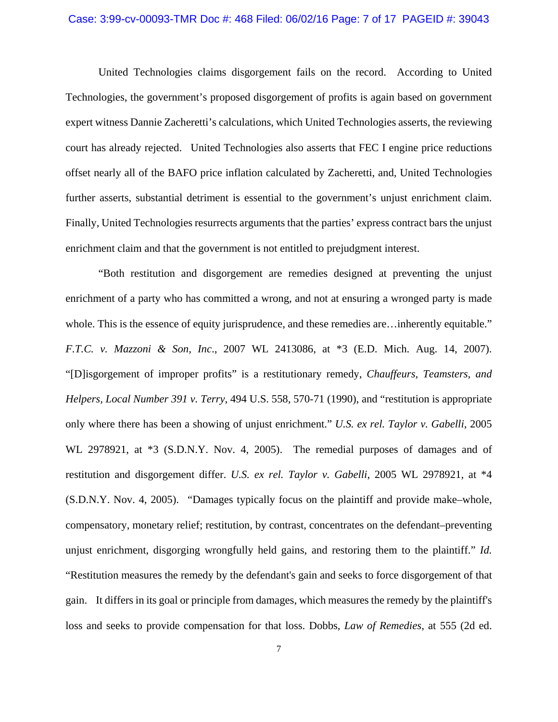### Case: 3:99-cv-00093-TMR Doc #: 468 Filed: 06/02/16 Page: 7 of 17 PAGEID #: 39043

 United Technologies claims disgorgement fails on the record. According to United Technologies, the government's proposed disgorgement of profits is again based on government expert witness Dannie Zacheretti's calculations, which United Technologies asserts, the reviewing court has already rejected. United Technologies also asserts that FEC I engine price reductions offset nearly all of the BAFO price inflation calculated by Zacheretti, and, United Technologies further asserts, substantial detriment is essential to the government's unjust enrichment claim. Finally, United Technologies resurrects arguments that the parties' express contract bars the unjust enrichment claim and that the government is not entitled to prejudgment interest.

"Both restitution and disgorgement are remedies designed at preventing the unjust enrichment of a party who has committed a wrong, and not at ensuring a wronged party is made whole. This is the essence of equity jurisprudence, and these remedies are…inherently equitable." *F.T.C. v. Mazzoni & Son, Inc*., 2007 WL 2413086, at \*3 (E.D. Mich. Aug. 14, 2007). "[D]isgorgement of improper profits" is a restitutionary remedy, *Chauffeurs, Teamsters, and Helpers, Local Number 391 v. Terry*, 494 U.S. 558, 570-71 (1990), and "restitution is appropriate only where there has been a showing of unjust enrichment." *U.S. ex rel. Taylor v. Gabelli*, 2005 WL 2978921, at \*3 (S.D.N.Y. Nov. 4, 2005). The remedial purposes of damages and of restitution and disgorgement differ. *U.S. ex rel. Taylor v. Gabelli*, 2005 WL 2978921, at \*4 (S.D.N.Y. Nov. 4, 2005). "Damages typically focus on the plaintiff and provide make–whole, compensatory, monetary relief; restitution, by contrast, concentrates on the defendant–preventing unjust enrichment, disgorging wrongfully held gains, and restoring them to the plaintiff." *Id.*  "Restitution measures the remedy by the defendant's gain and seeks to force disgorgement of that gain. It differs in its goal or principle from damages, which measures the remedy by the plaintiff's loss and seeks to provide compensation for that loss. Dobbs, *Law of Remedies*, at 555 (2d ed.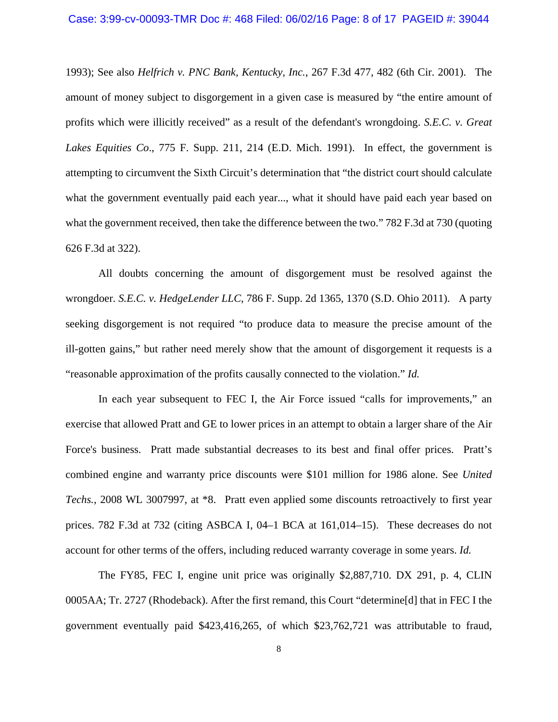### Case: 3:99-cv-00093-TMR Doc #: 468 Filed: 06/02/16 Page: 8 of 17 PAGEID #: 39044

1993); See also *Helfrich v. PNC Bank, Kentucky, Inc.*, 267 F.3d 477, 482 (6th Cir. 2001). The amount of money subject to disgorgement in a given case is measured by "the entire amount of profits which were illicitly received" as a result of the defendant's wrongdoing. *S.E.C. v. Great Lakes Equities Co*., 775 F. Supp. 211, 214 (E.D. Mich. 1991). In effect, the government is attempting to circumvent the Sixth Circuit's determination that "the district court should calculate what the government eventually paid each year..., what it should have paid each year based on what the government received, then take the difference between the two." 782 F.3d at 730 (quoting 626 F.3d at 322).

All doubts concerning the amount of disgorgement must be resolved against the wrongdoer. *S.E.C. v. HedgeLender LLC*, 786 F. Supp. 2d 1365, 1370 (S.D. Ohio 2011). A party seeking disgorgement is not required "to produce data to measure the precise amount of the ill-gotten gains," but rather need merely show that the amount of disgorgement it requests is a "reasonable approximation of the profits causally connected to the violation." *Id.*

In each year subsequent to FEC I, the Air Force issued "calls for improvements," an exercise that allowed Pratt and GE to lower prices in an attempt to obtain a larger share of the Air Force's business. Pratt made substantial decreases to its best and final offer prices. Pratt's combined engine and warranty price discounts were \$101 million for 1986 alone. See *United Techs.*, 2008 WL 3007997, at \*8. Pratt even applied some discounts retroactively to first year prices. 782 F.3d at 732 (citing ASBCA I, 04–1 BCA at 161,014–15). These decreases do not account for other terms of the offers, including reduced warranty coverage in some years. *Id.* 

The FY85, FEC I, engine unit price was originally \$2,887,710. DX 291, p. 4, CLIN 0005AA; Tr. 2727 (Rhodeback). After the first remand, this Court "determine[d] that in FEC I the government eventually paid \$423,416,265, of which \$23,762,721 was attributable to fraud,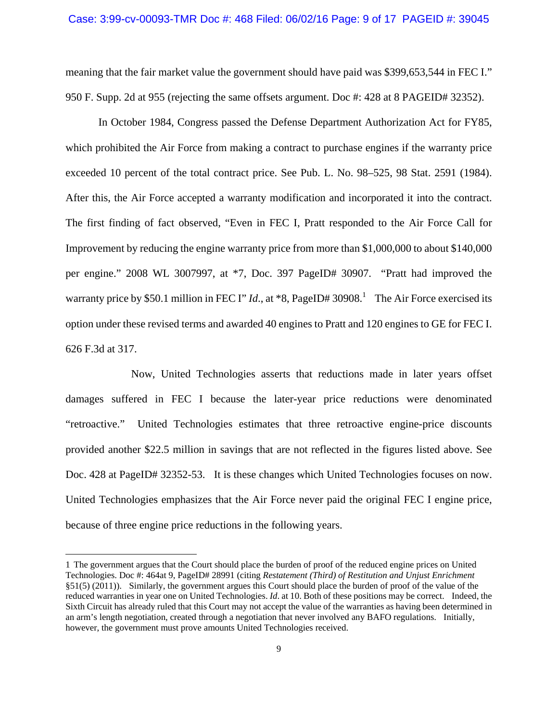meaning that the fair market value the government should have paid was \$399,653,544 in FEC I." 950 F. Supp. 2d at 955 (rejecting the same offsets argument. Doc #: 428 at 8 PAGEID# 32352).

 In October 1984, Congress passed the Defense Department Authorization Act for FY85, which prohibited the Air Force from making a contract to purchase engines if the warranty price exceeded 10 percent of the total contract price. See Pub. L. No. 98–525, 98 Stat. 2591 (1984). After this, the Air Force accepted a warranty modification and incorporated it into the contract. The first finding of fact observed, "Even in FEC I, Pratt responded to the Air Force Call for Improvement by reducing the engine warranty price from more than \$1,000,000 to about \$140,000 per engine." 2008 WL 3007997, at \*7, Doc. 397 PageID# 30907. "Pratt had improved the warranty price by \$50.1 million in FEC I" *Id.*, at \*8, PageID# 30908.<sup>1</sup> The Air Force exercised its option under these revised terms and awarded 40 engines to Pratt and 120 engines to GE for FEC I. 626 F.3d at 317.

 Now, United Technologies asserts that reductions made in later years offset damages suffered in FEC I because the later-year price reductions were denominated "retroactive." United Technologies estimates that three retroactive engine-price discounts provided another \$22.5 million in savings that are not reflected in the figures listed above. See Doc. 428 at PageID# 32352-53. It is these changes which United Technologies focuses on now. United Technologies emphasizes that the Air Force never paid the original FEC I engine price, because of three engine price reductions in the following years.

1

<sup>1</sup> The government argues that the Court should place the burden of proof of the reduced engine prices on United Technologies. Doc #: 464at 9, PageID# 28991 (citing *Restatement (Third) of Restitution and Unjust Enrichment* §51(5) (2011)). Similarly, the government argues this Court should place the burden of proof of the value of the reduced warranties in year one on United Technologies. *Id*. at 10. Both of these positions may be correct. Indeed, the Sixth Circuit has already ruled that this Court may not accept the value of the warranties as having been determined in an arm's length negotiation, created through a negotiation that never involved any BAFO regulations. Initially, however, the government must prove amounts United Technologies received.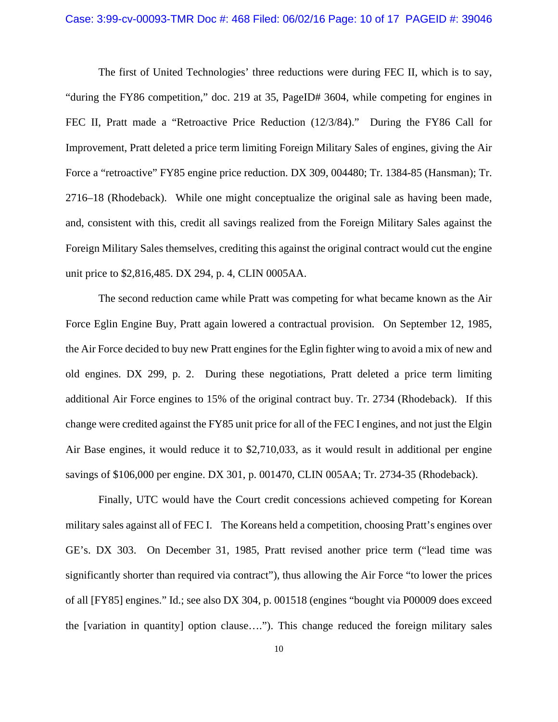#### Case: 3:99-cv-00093-TMR Doc #: 468 Filed: 06/02/16 Page: 10 of 17 PAGEID #: 39046

 The first of United Technologies' three reductions were during FEC II, which is to say, "during the FY86 competition," doc. 219 at 35, PageID# 3604, while competing for engines in FEC II, Pratt made a "Retroactive Price Reduction (12/3/84)." During the FY86 Call for Improvement, Pratt deleted a price term limiting Foreign Military Sales of engines, giving the Air Force a "retroactive" FY85 engine price reduction. DX 309, 004480; Tr. 1384-85 (Hansman); Tr. 2716–18 (Rhodeback). While one might conceptualize the original sale as having been made, and, consistent with this, credit all savings realized from the Foreign Military Sales against the Foreign Military Sales themselves, crediting this against the original contract would cut the engine unit price to \$2,816,485. DX 294, p. 4, CLIN 0005AA.

 The second reduction came while Pratt was competing for what became known as the Air Force Eglin Engine Buy, Pratt again lowered a contractual provision. On September 12, 1985, the Air Force decided to buy new Pratt engines for the Eglin fighter wing to avoid a mix of new and old engines. DX 299, p. 2. During these negotiations, Pratt deleted a price term limiting additional Air Force engines to 15% of the original contract buy. Tr. 2734 (Rhodeback). If this change were credited against the FY85 unit price for all of the FEC I engines, and not just the Elgin Air Base engines, it would reduce it to \$2,710,033, as it would result in additional per engine savings of \$106,000 per engine. DX 301, p. 001470, CLIN 005AA; Tr. 2734-35 (Rhodeback).

Finally, UTC would have the Court credit concessions achieved competing for Korean military sales against all of FEC I. The Koreans held a competition, choosing Pratt's engines over GE's. DX 303. On December 31, 1985, Pratt revised another price term ("lead time was significantly shorter than required via contract"), thus allowing the Air Force "to lower the prices of all [FY85] engines." Id.; see also DX 304, p. 001518 (engines "bought via P00009 does exceed the [variation in quantity] option clause…."). This change reduced the foreign military sales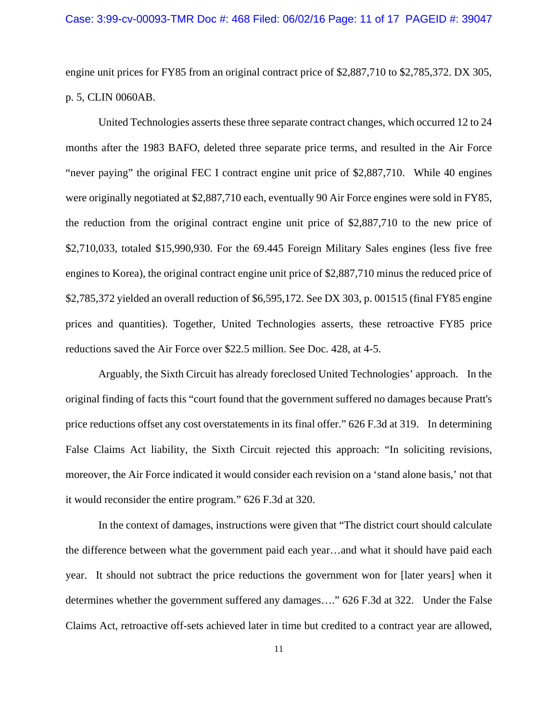### Case: 3:99-cv-00093-TMR Doc #: 468 Filed: 06/02/16 Page: 11 of 17 PAGEID #: 39047

engine unit prices for FY85 from an original contract price of \$2,887,710 to \$2,785,372. DX 305, p. 5, CLIN 0060AB.

 United Technologies asserts these three separate contract changes, which occurred 12 to 24 months after the 1983 BAFO, deleted three separate price terms, and resulted in the Air Force "never paying" the original FEC I contract engine unit price of \$2,887,710. While 40 engines were originally negotiated at \$2,887,710 each, eventually 90 Air Force engines were sold in FY85, the reduction from the original contract engine unit price of \$2,887,710 to the new price of \$2,710,033, totaled \$15,990,930. For the 69.445 Foreign Military Sales engines (less five free engines to Korea), the original contract engine unit price of \$2,887,710 minus the reduced price of \$2,785,372 yielded an overall reduction of \$6,595,172. See DX 303, p. 001515 (final FY85 engine prices and quantities). Together, United Technologies asserts, these retroactive FY85 price reductions saved the Air Force over \$22.5 million. See Doc. 428, at 4-5.

 Arguably, the Sixth Circuit has already foreclosed United Technologies' approach. In the original finding of facts this "court found that the government suffered no damages because Pratt's price reductions offset any cost overstatements in its final offer." 626 F.3d at 319. In determining False Claims Act liability, the Sixth Circuit rejected this approach: "In soliciting revisions, moreover, the Air Force indicated it would consider each revision on a 'stand alone basis,' not that it would reconsider the entire program." 626 F.3d at 320.

In the context of damages, instructions were given that "The district court should calculate the difference between what the government paid each year…and what it should have paid each year. It should not subtract the price reductions the government won for [later years] when it determines whether the government suffered any damages…." 626 F.3d at 322. Under the False Claims Act, retroactive off-sets achieved later in time but credited to a contract year are allowed,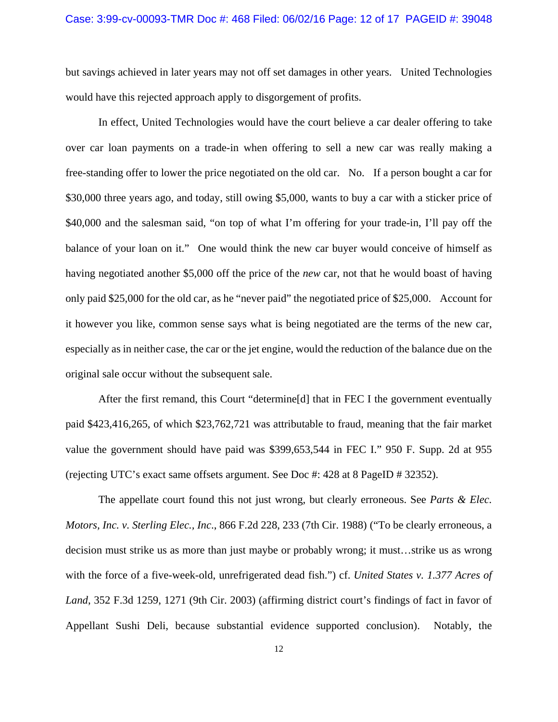### Case: 3:99-cv-00093-TMR Doc #: 468 Filed: 06/02/16 Page: 12 of 17 PAGEID #: 39048

but savings achieved in later years may not off set damages in other years. United Technologies would have this rejected approach apply to disgorgement of profits.

In effect, United Technologies would have the court believe a car dealer offering to take over car loan payments on a trade-in when offering to sell a new car was really making a free-standing offer to lower the price negotiated on the old car. No. If a person bought a car for \$30,000 three years ago, and today, still owing \$5,000, wants to buy a car with a sticker price of \$40,000 and the salesman said, "on top of what I'm offering for your trade-in, I'll pay off the balance of your loan on it." One would think the new car buyer would conceive of himself as having negotiated another \$5,000 off the price of the *new* car, not that he would boast of having only paid \$25,000 for the old car, as he "never paid" the negotiated price of \$25,000. Account for it however you like, common sense says what is being negotiated are the terms of the new car, especially as in neither case, the car or the jet engine, would the reduction of the balance due on the original sale occur without the subsequent sale.

 After the first remand, this Court "determine[d] that in FEC I the government eventually paid \$423,416,265, of which \$23,762,721 was attributable to fraud, meaning that the fair market value the government should have paid was \$399,653,544 in FEC I." 950 F. Supp. 2d at 955 (rejecting UTC's exact same offsets argument. See Doc #: 428 at 8 PageID # 32352).

The appellate court found this not just wrong, but clearly erroneous. See *Parts & Elec. Motors, Inc. v. Sterling Elec., Inc*., 866 F.2d 228, 233 (7th Cir. 1988) ("To be clearly erroneous, a decision must strike us as more than just maybe or probably wrong; it must…strike us as wrong with the force of a five-week-old, unrefrigerated dead fish.") cf. *United States v. 1.377 Acres of Land*, 352 F.3d 1259, 1271 (9th Cir. 2003) (affirming district court's findings of fact in favor of Appellant Sushi Deli, because substantial evidence supported conclusion). Notably, the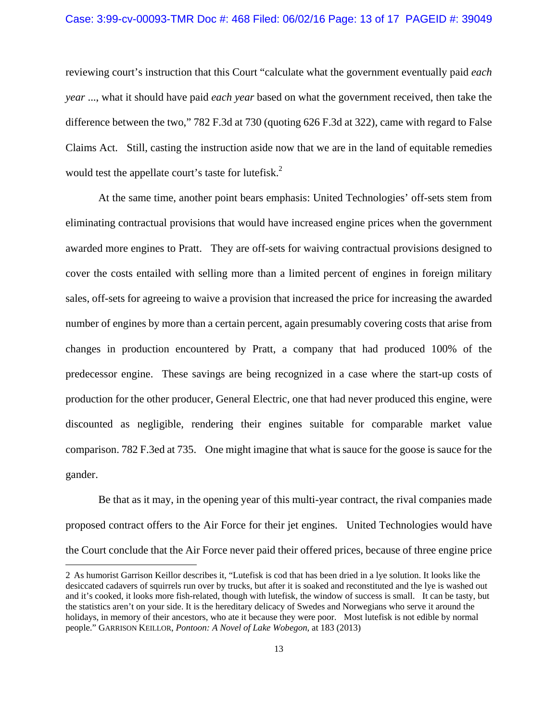### Case: 3:99-cv-00093-TMR Doc #: 468 Filed: 06/02/16 Page: 13 of 17 PAGEID #: 39049

reviewing court's instruction that this Court "calculate what the government eventually paid *each year* ..., what it should have paid *each year* based on what the government received, then take the difference between the two," 782 F.3d at 730 (quoting 626 F.3d at 322), came with regard to False Claims Act. Still, casting the instruction aside now that we are in the land of equitable remedies would test the appellate court's taste for lutefisk.<sup>2</sup>

At the same time, another point bears emphasis: United Technologies' off-sets stem from eliminating contractual provisions that would have increased engine prices when the government awarded more engines to Pratt. They are off-sets for waiving contractual provisions designed to cover the costs entailed with selling more than a limited percent of engines in foreign military sales, off-sets for agreeing to waive a provision that increased the price for increasing the awarded number of engines by more than a certain percent, again presumably covering costs that arise from changes in production encountered by Pratt, a company that had produced 100% of the predecessor engine. These savings are being recognized in a case where the start-up costs of production for the other producer, General Electric, one that had never produced this engine, were discounted as negligible, rendering their engines suitable for comparable market value comparison. 782 F.3ed at 735. One might imagine that what is sauce for the goose is sauce for the gander.

Be that as it may, in the opening year of this multi-year contract, the rival companies made proposed contract offers to the Air Force for their jet engines. United Technologies would have the Court conclude that the Air Force never paid their offered prices, because of three engine price

 $\overline{a}$ 

<sup>2</sup> As humorist Garrison Keillor describes it, "Lutefisk is cod that has been dried in a lye solution. It looks like the desiccated cadavers of squirrels run over by trucks, but after it is soaked and reconstituted and the lye is washed out and it's cooked, it looks more fish-related, though with lutefisk, the window of success is small. It can be tasty, but the statistics aren't on your side. It is the hereditary delicacy of Swedes and Norwegians who serve it around the holidays, in memory of their ancestors, who ate it because they were poor. Most lutefisk is not edible by normal people." GARRISON KEILLOR, *Pontoon: A Novel of Lake Wobegon*, at 183 (2013)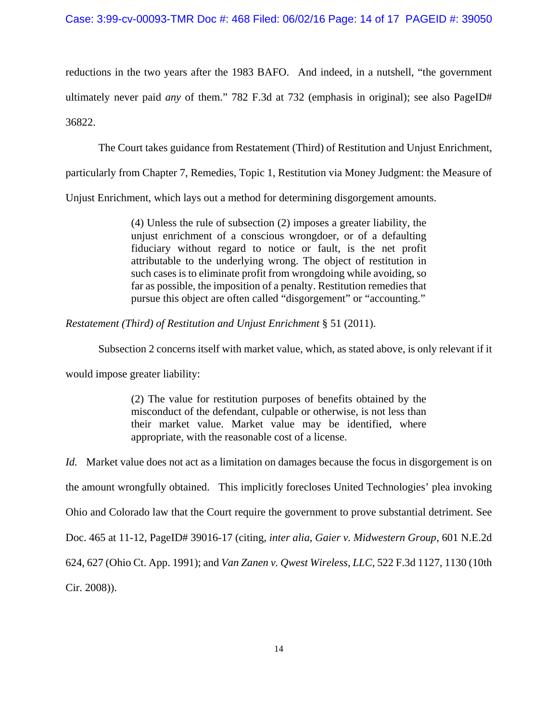reductions in the two years after the 1983 BAFO. And indeed, in a nutshell, "the government ultimately never paid *any* of them." 782 F.3d at 732 (emphasis in original); see also PageID# 36822.

The Court takes guidance from Restatement (Third) of Restitution and Unjust Enrichment,

particularly from Chapter 7, Remedies, Topic 1, Restitution via Money Judgment: the Measure of

Unjust Enrichment, which lays out a method for determining disgorgement amounts.

(4) Unless the rule of subsection (2) imposes a greater liability, the unjust enrichment of a conscious wrongdoer, or of a defaulting fiduciary without regard to notice or fault, is the net profit attributable to the underlying wrong. The object of restitution in such cases is to eliminate profit from wrongdoing while avoiding, so far as possible, the imposition of a penalty. Restitution remedies that pursue this object are often called "disgorgement" or "accounting."

*Restatement (Third) of Restitution and Unjust Enrichment* § 51 (2011).

Subsection 2 concerns itself with market value, which, as stated above, is only relevant if it

would impose greater liability:

(2) The value for restitution purposes of benefits obtained by the misconduct of the defendant, culpable or otherwise, is not less than their market value. Market value may be identified, where appropriate, with the reasonable cost of a license.

*Id.* Market value does not act as a limitation on damages because the focus in disgorgement is on the amount wrongfully obtained. This implicitly forecloses United Technologies' plea invoking Ohio and Colorado law that the Court require the government to prove substantial detriment. See Doc. 465 at 11-12, PageID# 39016-17 (citing, *inter alia*, *Gaier v. Midwestern Group*, 601 N.E.2d 624, 627 (Ohio Ct. App. 1991); and *Van Zanen v. Qwest Wireless, LLC*, 522 F.3d 1127, 1130 (10th Cir. 2008)).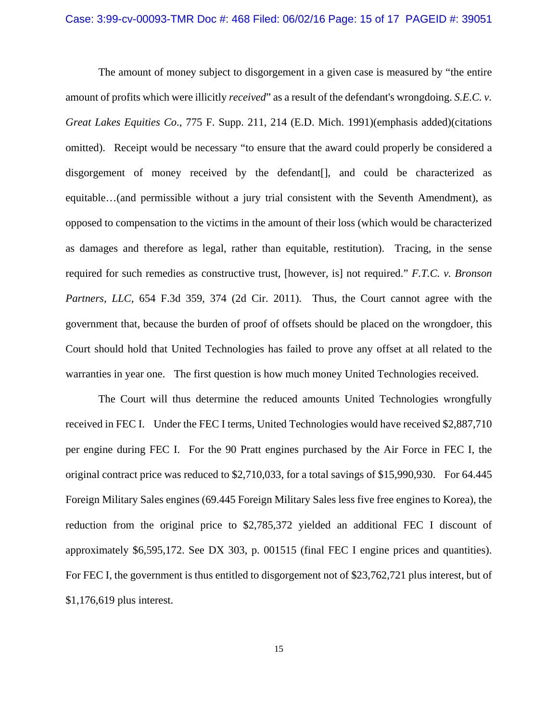### Case: 3:99-cv-00093-TMR Doc #: 468 Filed: 06/02/16 Page: 15 of 17 PAGEID #: 39051

 The amount of money subject to disgorgement in a given case is measured by "the entire amount of profits which were illicitly *received*" as a result of the defendant's wrongdoing. *S.E.C. v. Great Lakes Equities Co*., 775 F. Supp. 211, 214 (E.D. Mich. 1991)(emphasis added)(citations omitted). Receipt would be necessary "to ensure that the award could properly be considered a disgorgement of money received by the defendant[], and could be characterized as equitable…(and permissible without a jury trial consistent with the Seventh Amendment), as opposed to compensation to the victims in the amount of their loss (which would be characterized as damages and therefore as legal, rather than equitable, restitution). Tracing, in the sense required for such remedies as constructive trust, [however, is] not required." *F.T.C. v. Bronson Partners, LLC*, 654 F.3d 359, 374 (2d Cir. 2011). Thus, the Court cannot agree with the government that, because the burden of proof of offsets should be placed on the wrongdoer, this Court should hold that United Technologies has failed to prove any offset at all related to the warranties in year one. The first question is how much money United Technologies received.

 The Court will thus determine the reduced amounts United Technologies wrongfully received in FEC I. Under the FEC I terms, United Technologies would have received \$2,887,710 per engine during FEC I. For the 90 Pratt engines purchased by the Air Force in FEC I, the original contract price was reduced to \$2,710,033, for a total savings of \$15,990,930. For 64.445 Foreign Military Sales engines (69.445 Foreign Military Sales less five free engines to Korea), the reduction from the original price to \$2,785,372 yielded an additional FEC I discount of approximately \$6,595,172. See DX 303, p. 001515 (final FEC I engine prices and quantities). For FEC I, the government is thus entitled to disgorgement not of \$23,762,721 plus interest, but of \$1,176,619 plus interest.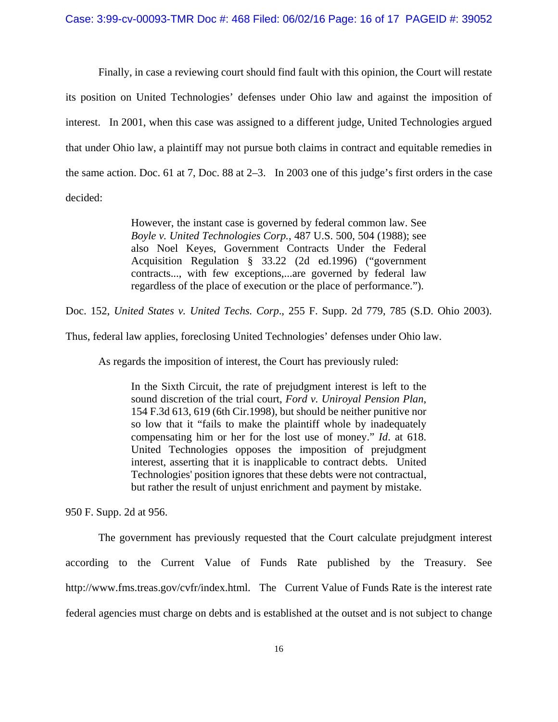Finally, in case a reviewing court should find fault with this opinion, the Court will restate its position on United Technologies' defenses under Ohio law and against the imposition of interest. In 2001, when this case was assigned to a different judge, United Technologies argued that under Ohio law, a plaintiff may not pursue both claims in contract and equitable remedies in the same action. Doc. 61 at 7, Doc. 88 at 2–3. In 2003 one of this judge's first orders in the case decided:

> However, the instant case is governed by federal common law. See *Boyle v. United Technologies Corp.*, 487 U.S. 500, 504 (1988); see also Noel Keyes, Government Contracts Under the Federal Acquisition Regulation § 33.22 (2d ed.1996) ("government contracts..., with few exceptions,...are governed by federal law regardless of the place of execution or the place of performance.").

Doc. 152, *United States v. United Techs. Corp*., 255 F. Supp. 2d 779, 785 (S.D. Ohio 2003).

Thus, federal law applies, foreclosing United Technologies' defenses under Ohio law.

As regards the imposition of interest, the Court has previously ruled:

In the Sixth Circuit, the rate of prejudgment interest is left to the sound discretion of the trial court, *Ford v. Uniroyal Pension Plan*, 154 F.3d 613, 619 (6th Cir.1998), but should be neither punitive nor so low that it "fails to make the plaintiff whole by inadequately compensating him or her for the lost use of money." *Id*. at 618. United Technologies opposes the imposition of prejudgment interest, asserting that it is inapplicable to contract debts. United Technologies' position ignores that these debts were not contractual, but rather the result of unjust enrichment and payment by mistake.

950 F. Supp. 2d at 956.

The government has previously requested that the Court calculate prejudgment interest according to the Current Value of Funds Rate published by the Treasury. See http://www.fms.treas.gov/cvfr/index.html. The Current Value of Funds Rate is the interest rate federal agencies must charge on debts and is established at the outset and is not subject to change